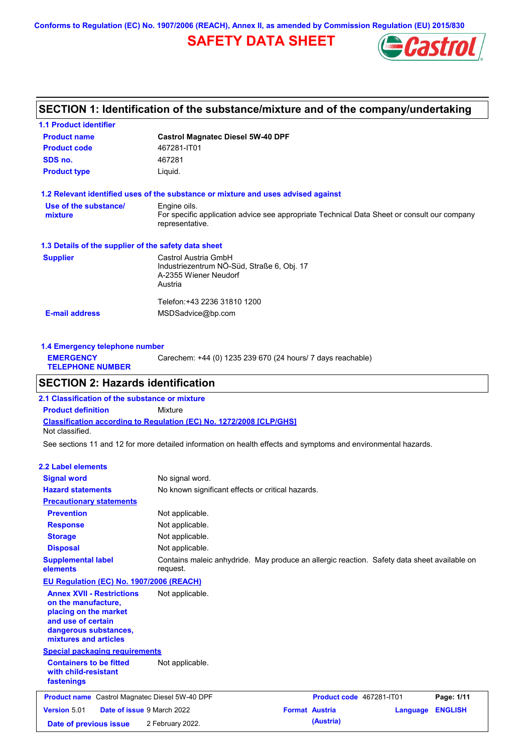**Conforms to Regulation (EC) No. 1907/2006 (REACH), Annex II, as amended by Commission Regulation (EU) 2015/830**

## **SAFETY DATA SHEET**



## **SECTION 1: Identification of the substance/mixture and of the company/undertaking**

| <b>1.1 Product identifier</b>                        |                                                                                                                |
|------------------------------------------------------|----------------------------------------------------------------------------------------------------------------|
| <b>Product name</b>                                  | <b>Castrol Magnatec Diesel 5W-40 DPF</b>                                                                       |
| <b>Product code</b>                                  | 467281-IT01                                                                                                    |
| SDS no.                                              | 467281                                                                                                         |
| <b>Product type</b>                                  | Liquid.                                                                                                        |
|                                                      | 1.2 Relevant identified uses of the substance or mixture and uses advised against                              |
| Use of the substance/                                | Engine oils.                                                                                                   |
| mixture                                              | For specific application advice see appropriate Technical Data Sheet or consult our company<br>representative. |
| 1.3 Details of the supplier of the safety data sheet |                                                                                                                |
| <b>Supplier</b>                                      | Castrol Austria GmbH                                                                                           |
|                                                      | Industriezentrum NÖ-Süd, Straße 6, Obj. 17                                                                     |
|                                                      | A-2355 Wiener Neudorf                                                                                          |
|                                                      | Austria                                                                                                        |
|                                                      | Telefon:+43 2236 31810 1200                                                                                    |
| <b>E-mail address</b>                                | MSDSadvice@bp.com                                                                                              |
|                                                      |                                                                                                                |
|                                                      |                                                                                                                |

| 1.4 Emergency telephone number              |                                                             |
|---------------------------------------------|-------------------------------------------------------------|
| <b>EMERGENCY</b><br><b>TELEPHONE NUMBER</b> | Carechem: +44 (0) 1235 239 670 (24 hours/ 7 days reachable) |
|                                             |                                                             |

## **SECTION 2: Hazards identification**

**Classification according to Regulation (EC) No. 1272/2008 [CLP/GHS] 2.1 Classification of the substance or mixture Product definition** Mixture Not classified.

See sections 11 and 12 for more detailed information on health effects and symptoms and environmental hazards.

### **2.2 Label elements**

| <b>Signal word</b>                                                                                                                                       | No signal word.                                                                                         |                       |                          |          |                |
|----------------------------------------------------------------------------------------------------------------------------------------------------------|---------------------------------------------------------------------------------------------------------|-----------------------|--------------------------|----------|----------------|
| <b>Hazard statements</b>                                                                                                                                 | No known significant effects or critical hazards.                                                       |                       |                          |          |                |
| <b>Precautionary statements</b>                                                                                                                          |                                                                                                         |                       |                          |          |                |
| <b>Prevention</b>                                                                                                                                        | Not applicable.                                                                                         |                       |                          |          |                |
| <b>Response</b>                                                                                                                                          | Not applicable.                                                                                         |                       |                          |          |                |
| <b>Storage</b>                                                                                                                                           | Not applicable.                                                                                         |                       |                          |          |                |
| <b>Disposal</b>                                                                                                                                          | Not applicable.                                                                                         |                       |                          |          |                |
| <b>Supplemental label</b><br>elements                                                                                                                    | Contains maleic anhydride. May produce an allergic reaction. Safety data sheet available on<br>request. |                       |                          |          |                |
| EU Regulation (EC) No. 1907/2006 (REACH)                                                                                                                 |                                                                                                         |                       |                          |          |                |
| <b>Annex XVII - Restrictions</b><br>on the manufacture,<br>placing on the market<br>and use of certain<br>dangerous substances,<br>mixtures and articles | Not applicable.                                                                                         |                       |                          |          |                |
| <b>Special packaging requirements</b>                                                                                                                    |                                                                                                         |                       |                          |          |                |
| <b>Containers to be fitted</b><br>with child-resistant<br>fastenings                                                                                     | Not applicable.                                                                                         |                       |                          |          |                |
| <b>Product name</b> Castrol Magnatec Diesel 5W-40 DPF                                                                                                    |                                                                                                         |                       | Product code 467281-IT01 |          | Page: 1/11     |
| Date of issue 9 March 2022<br>Version 5.01                                                                                                               |                                                                                                         | <b>Format Austria</b> |                          | Language | <b>ENGLISH</b> |
| Date of previous issue                                                                                                                                   | 2 February 2022.                                                                                        |                       | (Austria)                |          |                |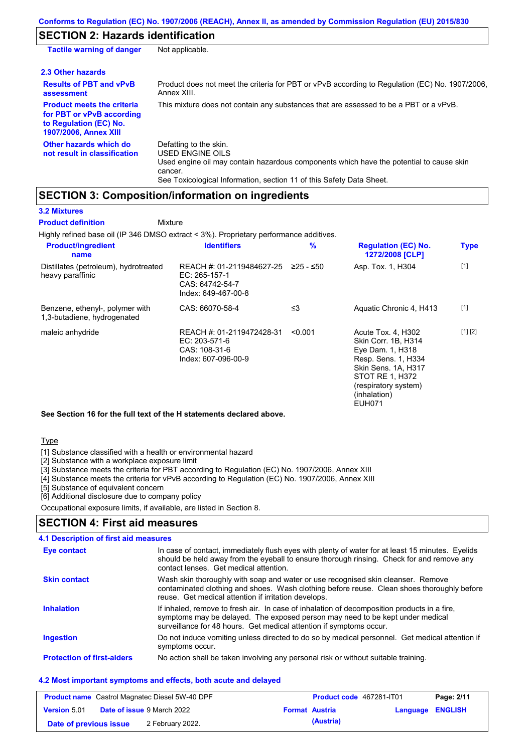## **SECTION 2: Hazards identification**

| <b>Tactile warning of danger</b>                                                                                         | Not applicable.                                                                                                                                                                                                                 |
|--------------------------------------------------------------------------------------------------------------------------|---------------------------------------------------------------------------------------------------------------------------------------------------------------------------------------------------------------------------------|
| 2.3 Other hazards                                                                                                        |                                                                                                                                                                                                                                 |
| <b>Results of PBT and vPvB</b><br>assessment                                                                             | Product does not meet the criteria for PBT or vPvB according to Regulation (EC) No. 1907/2006,<br>Annex XIII.                                                                                                                   |
| <b>Product meets the criteria</b><br>for PBT or vPvB according<br>to Regulation (EC) No.<br><b>1907/2006, Annex XIII</b> | This mixture does not contain any substances that are assessed to be a PBT or a vPvB.                                                                                                                                           |
| Other hazards which do<br>not result in classification                                                                   | Defatting to the skin.<br><b>USED ENGINE OILS</b><br>Used engine oil may contain hazardous components which have the potential to cause skin<br>cancer.<br>See Toxicological Information, section 11 of this Safety Data Sheet. |

## **SECTION 3: Composition/information on ingredients**

**Mixture** 

### **3.2 Mixtures**

**Product definition**

Highly refined base oil (IP 346 DMSO extract < 3%). Proprietary performance additives.

| <b>Product/ingredient</b><br>name                              | <b>Identifiers</b>                                                                   | $\%$        | <b>Regulation (EC) No.</b><br>1272/2008 [CLP]                                                                                                                                           | <b>Type</b> |
|----------------------------------------------------------------|--------------------------------------------------------------------------------------|-------------|-----------------------------------------------------------------------------------------------------------------------------------------------------------------------------------------|-------------|
| Distillates (petroleum), hydrotreated<br>heavy paraffinic      | REACH #: 01-2119484627-25<br>EC: 265-157-1<br>CAS: 64742-54-7<br>Index: 649-467-00-8 | $≥25 - ≤50$ | Asp. Tox. 1, H304                                                                                                                                                                       | $[1]$       |
| Benzene, ethenyl-, polymer with<br>1,3-butadiene, hydrogenated | CAS: 66070-58-4                                                                      | $\leq$ 3    | Aquatic Chronic 4, H413                                                                                                                                                                 | $[1]$       |
| maleic anhydride                                               | REACH #: 01-2119472428-31<br>EC: 203-571-6<br>CAS: 108-31-6<br>Index: 607-096-00-9   | < 0.001     | Acute Tox. 4. H302<br>Skin Corr. 1B, H314<br>Eye Dam. 1, H318<br>Resp. Sens. 1, H334<br>Skin Sens. 1A, H317<br>STOT RE 1, H372<br>(respiratory system)<br>(inhalation)<br><b>EUH071</b> | [1] [2]     |

### **See Section 16 for the full text of the H statements declared above.**

**Type** 

[1] Substance classified with a health or environmental hazard

[2] Substance with a workplace exposure limit

[3] Substance meets the criteria for PBT according to Regulation (EC) No. 1907/2006, Annex XIII

[4] Substance meets the criteria for vPvB according to Regulation (EC) No. 1907/2006, Annex XIII

[5] Substance of equivalent concern

[6] Additional disclosure due to company policy

Occupational exposure limits, if available, are listed in Section 8.

## **SECTION 4: First aid measures**

#### **4.1 Description of first aid measures**

| <b>Eye contact</b>                | In case of contact, immediately flush eyes with plenty of water for at least 15 minutes. Eyelids<br>should be held away from the eyeball to ensure thorough rinsing. Check for and remove any<br>contact lenses. Get medical attention.             |
|-----------------------------------|-----------------------------------------------------------------------------------------------------------------------------------------------------------------------------------------------------------------------------------------------------|
| <b>Skin contact</b>               | Wash skin thoroughly with soap and water or use recognised skin cleanser. Remove<br>contaminated clothing and shoes. Wash clothing before reuse. Clean shoes thoroughly before<br>reuse. Get medical attention if irritation develops.              |
| <b>Inhalation</b>                 | If inhaled, remove to fresh air. In case of inhalation of decomposition products in a fire,<br>symptoms may be delayed. The exposed person may need to be kept under medical<br>surveillance for 48 hours. Get medical attention if symptoms occur. |
| <b>Ingestion</b>                  | Do not induce vomiting unless directed to do so by medical personnel. Get medical attention if<br>symptoms occur.                                                                                                                                   |
| <b>Protection of first-aiders</b> | No action shall be taken involving any personal risk or without suitable training.                                                                                                                                                                  |

### **4.2 Most important symptoms and effects, both acute and delayed**

| <b>Product name</b> Castrol Magnatec Diesel 5W-40 DPF |  |                                   | <b>Product code</b> 467281-IT01 |                       | Page: 2/11       |  |
|-------------------------------------------------------|--|-----------------------------------|---------------------------------|-----------------------|------------------|--|
| <b>Version 5.01</b>                                   |  | <b>Date of issue 9 March 2022</b> |                                 | <b>Format Austria</b> | Language ENGLISH |  |
| Date of previous issue                                |  | 2 February 2022.                  |                                 | (Austria)             |                  |  |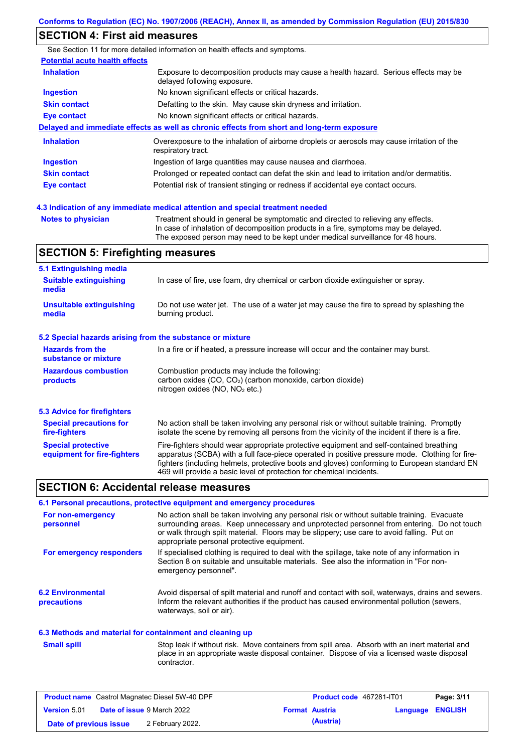## **SECTION 4: First aid measures**

See Section 11 for more detailed information on health effects and symptoms. **Potential acute health effects Inhalation** Exposure to decomposition products may cause a health hazard. Serious effects may be delayed following exposure. **Ingestion** No known significant effects or critical hazards. **Skin contact** Defatting to the skin. May cause skin dryness and irritation. **Eye contact** No known significant effects or critical hazards. **Delayed and immediate effects as well as chronic effects from short and long-term exposure Inhalation Ingestion Skin contact Eye contact** Overexposure to the inhalation of airborne droplets or aerosols may cause irritation of the respiratory tract. Ingestion of large quantities may cause nausea and diarrhoea. Prolonged or repeated contact can defat the skin and lead to irritation and/or dermatitis. Potential risk of transient stinging or redness if accidental eye contact occurs.

**4.3 Indication of any immediate medical attention and special treatment needed**

| Notes to physician | Treatment should in general be symptomatic and directed to relieving any effects.   |
|--------------------|-------------------------------------------------------------------------------------|
|                    | In case of inhalation of decomposition products in a fire, symptoms may be delayed. |
|                    | The exposed person may need to be kept under medical surveillance for 48 hours.     |

## **SECTION 5: Firefighting measures**

| 5.1 Extinguishing media                                   |                                                                                                                                                                                                                                                                                                                                                                   |  |  |  |
|-----------------------------------------------------------|-------------------------------------------------------------------------------------------------------------------------------------------------------------------------------------------------------------------------------------------------------------------------------------------------------------------------------------------------------------------|--|--|--|
| <b>Suitable extinguishing</b><br>media                    | In case of fire, use foam, dry chemical or carbon dioxide extinguisher or spray.                                                                                                                                                                                                                                                                                  |  |  |  |
| <b>Unsuitable extinguishing</b><br>media                  | Do not use water jet. The use of a water jet may cause the fire to spread by splashing the<br>burning product.                                                                                                                                                                                                                                                    |  |  |  |
| 5.2 Special hazards arising from the substance or mixture |                                                                                                                                                                                                                                                                                                                                                                   |  |  |  |
| <b>Hazards from the</b><br>substance or mixture           | In a fire or if heated, a pressure increase will occur and the container may burst.                                                                                                                                                                                                                                                                               |  |  |  |
| <b>Hazardous combustion</b><br>products                   | Combustion products may include the following:<br>carbon oxides $(CO, CO2)$ (carbon monoxide, carbon dioxide)<br>nitrogen oxides ( $NO$ , $NO2$ etc.)                                                                                                                                                                                                             |  |  |  |
| 5.3 Advice for firefighters                               |                                                                                                                                                                                                                                                                                                                                                                   |  |  |  |
| <b>Special precautions for</b><br>fire-fighters           | No action shall be taken involving any personal risk or without suitable training. Promptly<br>isolate the scene by removing all persons from the vicinity of the incident if there is a fire.                                                                                                                                                                    |  |  |  |
| <b>Special protective</b><br>equipment for fire-fighters  | Fire-fighters should wear appropriate protective equipment and self-contained breathing<br>apparatus (SCBA) with a full face-piece operated in positive pressure mode. Clothing for fire-<br>fighters (including helmets, protective boots and gloves) conforming to European standard EN<br>469 will provide a basic level of protection for chemical incidents. |  |  |  |

### **SECTION 6: Accidental release measures**

### **6.1 Personal precautions, protective equipment and emergency procedures**

| For non-emergency<br>personnel                 | No action shall be taken involving any personal risk or without suitable training. Evacuate<br>surrounding areas. Keep unnecessary and unprotected personnel from entering. Do not touch<br>or walk through spilt material. Floors may be slippery; use care to avoid falling. Put on<br>appropriate personal protective equipment. |
|------------------------------------------------|-------------------------------------------------------------------------------------------------------------------------------------------------------------------------------------------------------------------------------------------------------------------------------------------------------------------------------------|
| For emergency responders                       | If specialised clothing is required to deal with the spillage, take note of any information in<br>Section 8 on suitable and unsuitable materials. See also the information in "For non-<br>emergency personnel".                                                                                                                    |
| <b>6.2 Environmental</b><br><b>precautions</b> | Avoid dispersal of spilt material and runoff and contact with soil, waterways, drains and sewers.<br>Inform the relevant authorities if the product has caused environmental pollution (sewers,<br>waterways, soil or air).                                                                                                         |

### **6.3 Methods and material for containment and cleaning up**

Stop leak if without risk. Move containers from spill area. Absorb with an inert material and place in an appropriate waste disposal container. Dispose of via a licensed waste disposal contractor. **Small spill**

| <b>Product name</b> Castrol Magnatec Diesel 5W-40 DPF |  |                                   | <b>Product code</b> 467281-IT01 |           | Page: 3/11              |  |
|-------------------------------------------------------|--|-----------------------------------|---------------------------------|-----------|-------------------------|--|
| <b>Version 5.01</b>                                   |  | <b>Date of issue 9 March 2022</b> | <b>Format Austria</b>           |           | <b>Language ENGLISH</b> |  |
| Date of previous issue                                |  | 2 February 2022.                  |                                 | (Austria) |                         |  |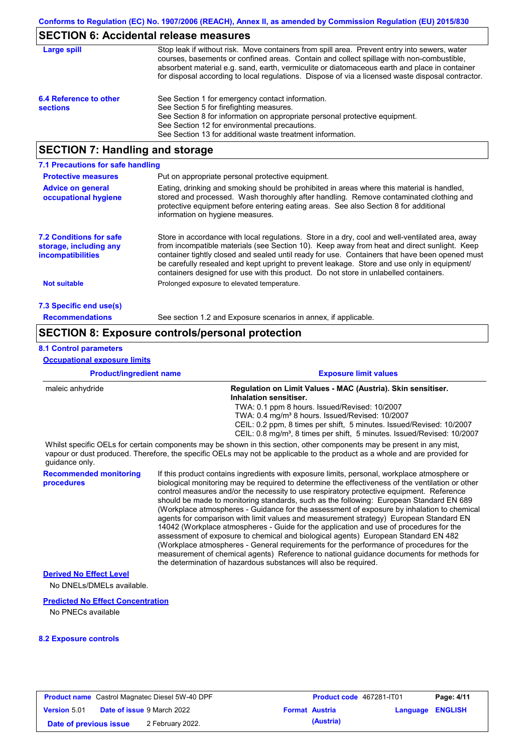## **SECTION 6: Accidental release measures**

| Large spill                               | Stop leak if without risk. Move containers from spill area. Prevent entry into sewers, water<br>courses, basements or confined areas. Contain and collect spillage with non-combustible,<br>absorbent material e.g. sand, earth, vermiculite or diatomaceous earth and place in container<br>for disposal according to local regulations. Dispose of via a licensed waste disposal contractor. |
|-------------------------------------------|------------------------------------------------------------------------------------------------------------------------------------------------------------------------------------------------------------------------------------------------------------------------------------------------------------------------------------------------------------------------------------------------|
| 6.4 Reference to other<br><b>sections</b> | See Section 1 for emergency contact information.<br>See Section 5 for firefighting measures.<br>See Section 8 for information on appropriate personal protective equipment.<br>See Section 12 for environmental precautions.<br>See Section 13 for additional waste treatment information.                                                                                                     |

## **SECTION 7: Handling and storage**

| 7.1 Precautions for safe handling                                                    |                                                                                                                                                                                                                                                                                                                                                                                                                                                                                          |
|--------------------------------------------------------------------------------------|------------------------------------------------------------------------------------------------------------------------------------------------------------------------------------------------------------------------------------------------------------------------------------------------------------------------------------------------------------------------------------------------------------------------------------------------------------------------------------------|
| <b>Protective measures</b>                                                           | Put on appropriate personal protective equipment.                                                                                                                                                                                                                                                                                                                                                                                                                                        |
| <b>Advice on general</b><br>occupational hygiene                                     | Eating, drinking and smoking should be prohibited in areas where this material is handled,<br>stored and processed. Wash thoroughly after handling. Remove contaminated clothing and<br>protective equipment before entering eating areas. See also Section 8 for additional<br>information on hygiene measures.                                                                                                                                                                         |
| <b>7.2 Conditions for safe</b><br>storage, including any<br><i>incompatibilities</i> | Store in accordance with local regulations. Store in a dry, cool and well-ventilated area, away<br>from incompatible materials (see Section 10). Keep away from heat and direct sunlight. Keep<br>container tightly closed and sealed until ready for use. Containers that have been opened must<br>be carefully resealed and kept upright to prevent leakage. Store and use only in equipment/<br>containers designed for use with this product. Do not store in unlabelled containers. |
| Not suitable                                                                         | Prolonged exposure to elevated temperature.                                                                                                                                                                                                                                                                                                                                                                                                                                              |
| 7.3 Specific end use(s)                                                              |                                                                                                                                                                                                                                                                                                                                                                                                                                                                                          |
| <b>Recommendations</b>                                                               | See section 1.2 and Exposure scenarios in annex, if applicable.                                                                                                                                                                                                                                                                                                                                                                                                                          |

## **SECTION 8: Exposure controls/personal protection**

### **8.1 Control parameters**

**Occupational exposure limits**

| <b>Product/ingredient name</b> | <b>Exposure limit values</b>                                                                                                                                                                                                                                                |
|--------------------------------|-----------------------------------------------------------------------------------------------------------------------------------------------------------------------------------------------------------------------------------------------------------------------------|
| maleic anhydride               | Regulation on Limit Values - MAC (Austria). Skin sensitiser.<br>Inhalation sensitiser.                                                                                                                                                                                      |
|                                | TWA: 0.1 ppm 8 hours. Issued/Revised: 10/2007<br>TWA: 0.4 mg/m <sup>3</sup> 8 hours. Issued/Revised: 10/2007<br>CEIL: 0.2 ppm, 8 times per shift, 5 minutes. Issued/Revised: 10/2007<br>CEIL: 0.8 mg/m <sup>3</sup> , 8 times per shift, 5 minutes. Issued/Revised: 10/2007 |
| quidance only.                 | Whilst specific OELs for certain components may be shown in this section, other components may be present in any mist,<br>vapour or dust produced. Therefore, the specific OELs may not be applicable to the product as a whole and are provided for                        |
| <b>Recommended monitoring</b>  | If this product contains ingredients with exposure limits, personal, workplace atmosphere or                                                                                                                                                                                |

If this product contains ingredients with exposure limits, personal, workplace atmosphere or biological monitoring may be required to determine the effectiveness of the ventilation or other control measures and/or the necessity to use respiratory protective equipment. Reference should be made to monitoring standards, such as the following: European Standard EN 689 (Workplace atmospheres - Guidance for the assessment of exposure by inhalation to chemical agents for comparison with limit values and measurement strategy) European Standard EN 14042 (Workplace atmospheres - Guide for the application and use of procedures for the assessment of exposure to chemical and biological agents) European Standard EN 482 (Workplace atmospheres - General requirements for the performance of procedures for the measurement of chemical agents) Reference to national guidance documents for methods for the determination of hazardous substances will also be required.

### **Derived No Effect Level**

**procedures**

No DNELs/DMELs available.

### **Predicted No Effect Concentration**

No PNECs available

#### **8.2 Exposure controls**

| <b>Product name</b> Castrol Magnatec Diesel 5W-40 DPF |  |                                   | <b>Product code</b> 467281-IT01 | Page: 4/11            |                         |  |
|-------------------------------------------------------|--|-----------------------------------|---------------------------------|-----------------------|-------------------------|--|
| Version 5.01                                          |  | <b>Date of issue 9 March 2022</b> |                                 | <b>Format Austria</b> | <b>Language ENGLISH</b> |  |
| Date of previous issue                                |  | 2 February 2022.                  |                                 | (Austria)             |                         |  |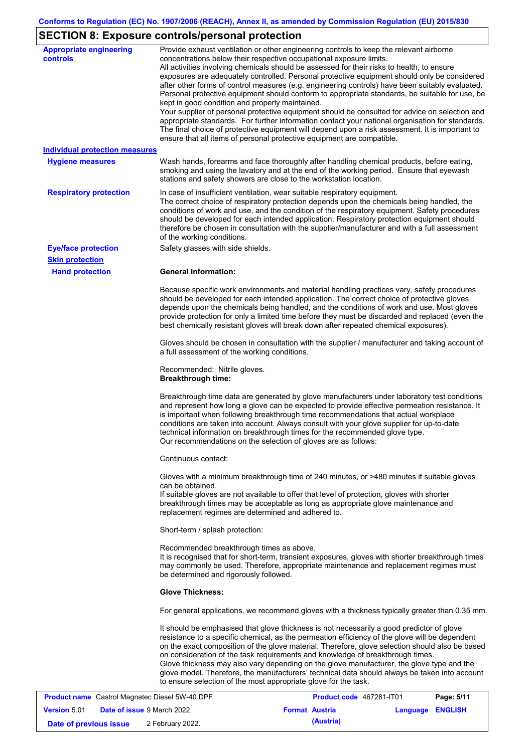## **SECTION 8: Exposure controls/personal protection**

| <b>Appropriate engineering</b><br><b>controls</b>        | Provide exhaust ventilation or other engineering controls to keep the relevant airborne<br>concentrations below their respective occupational exposure limits.<br>All activities involving chemicals should be assessed for their risks to health, to ensure<br>exposures are adequately controlled. Personal protective equipment should only be considered<br>after other forms of control measures (e.g. engineering controls) have been suitably evaluated.<br>Personal protective equipment should conform to appropriate standards, be suitable for use, be<br>kept in good condition and properly maintained.<br>Your supplier of personal protective equipment should be consulted for advice on selection and<br>appropriate standards. For further information contact your national organisation for standards.<br>The final choice of protective equipment will depend upon a risk assessment. It is important to<br>ensure that all items of personal protective equipment are compatible. |
|----------------------------------------------------------|---------------------------------------------------------------------------------------------------------------------------------------------------------------------------------------------------------------------------------------------------------------------------------------------------------------------------------------------------------------------------------------------------------------------------------------------------------------------------------------------------------------------------------------------------------------------------------------------------------------------------------------------------------------------------------------------------------------------------------------------------------------------------------------------------------------------------------------------------------------------------------------------------------------------------------------------------------------------------------------------------------|
| <b>Individual protection measures</b>                    |                                                                                                                                                                                                                                                                                                                                                                                                                                                                                                                                                                                                                                                                                                                                                                                                                                                                                                                                                                                                         |
| <b>Hygiene measures</b>                                  | Wash hands, forearms and face thoroughly after handling chemical products, before eating,<br>smoking and using the lavatory and at the end of the working period. Ensure that eyewash<br>stations and safety showers are close to the workstation location.                                                                                                                                                                                                                                                                                                                                                                                                                                                                                                                                                                                                                                                                                                                                             |
| <b>Respiratory protection</b>                            | In case of insufficient ventilation, wear suitable respiratory equipment.<br>The correct choice of respiratory protection depends upon the chemicals being handled, the<br>conditions of work and use, and the condition of the respiratory equipment. Safety procedures<br>should be developed for each intended application. Respiratory protection equipment should<br>therefore be chosen in consultation with the supplier/manufacturer and with a full assessment<br>of the working conditions.                                                                                                                                                                                                                                                                                                                                                                                                                                                                                                   |
| <b>Eye/face protection</b>                               | Safety glasses with side shields.                                                                                                                                                                                                                                                                                                                                                                                                                                                                                                                                                                                                                                                                                                                                                                                                                                                                                                                                                                       |
| <b>Skin protection</b>                                   |                                                                                                                                                                                                                                                                                                                                                                                                                                                                                                                                                                                                                                                                                                                                                                                                                                                                                                                                                                                                         |
| <b>Hand protection</b>                                   | <b>General Information:</b>                                                                                                                                                                                                                                                                                                                                                                                                                                                                                                                                                                                                                                                                                                                                                                                                                                                                                                                                                                             |
|                                                          | Because specific work environments and material handling practices vary, safety procedures<br>should be developed for each intended application. The correct choice of protective gloves<br>depends upon the chemicals being handled, and the conditions of work and use. Most gloves<br>provide protection for only a limited time before they must be discarded and replaced (even the<br>best chemically resistant gloves will break down after repeated chemical exposures).                                                                                                                                                                                                                                                                                                                                                                                                                                                                                                                        |
|                                                          | Gloves should be chosen in consultation with the supplier / manufacturer and taking account of<br>a full assessment of the working conditions.                                                                                                                                                                                                                                                                                                                                                                                                                                                                                                                                                                                                                                                                                                                                                                                                                                                          |
|                                                          | Recommended: Nitrile gloves.<br><b>Breakthrough time:</b>                                                                                                                                                                                                                                                                                                                                                                                                                                                                                                                                                                                                                                                                                                                                                                                                                                                                                                                                               |
|                                                          | Breakthrough time data are generated by glove manufacturers under laboratory test conditions<br>and represent how long a glove can be expected to provide effective permeation resistance. It<br>is important when following breakthrough time recommendations that actual workplace<br>conditions are taken into account. Always consult with your glove supplier for up-to-date<br>technical information on breakthrough times for the recommended glove type.<br>Our recommendations on the selection of gloves are as follows:                                                                                                                                                                                                                                                                                                                                                                                                                                                                      |
|                                                          | Continuous contact:                                                                                                                                                                                                                                                                                                                                                                                                                                                                                                                                                                                                                                                                                                                                                                                                                                                                                                                                                                                     |
|                                                          | Gloves with a minimum breakthrough time of 240 minutes, or >480 minutes if suitable gloves<br>can be obtained.<br>If suitable gloves are not available to offer that level of protection, gloves with shorter<br>breakthrough times may be acceptable as long as appropriate glove maintenance and<br>replacement regimes are determined and adhered to.                                                                                                                                                                                                                                                                                                                                                                                                                                                                                                                                                                                                                                                |
|                                                          | Short-term / splash protection:                                                                                                                                                                                                                                                                                                                                                                                                                                                                                                                                                                                                                                                                                                                                                                                                                                                                                                                                                                         |
|                                                          | Recommended breakthrough times as above.<br>It is recognised that for short-term, transient exposures, gloves with shorter breakthrough times<br>may commonly be used. Therefore, appropriate maintenance and replacement regimes must<br>be determined and rigorously followed.                                                                                                                                                                                                                                                                                                                                                                                                                                                                                                                                                                                                                                                                                                                        |
|                                                          | <b>Glove Thickness:</b>                                                                                                                                                                                                                                                                                                                                                                                                                                                                                                                                                                                                                                                                                                                                                                                                                                                                                                                                                                                 |
|                                                          | For general applications, we recommend gloves with a thickness typically greater than 0.35 mm.                                                                                                                                                                                                                                                                                                                                                                                                                                                                                                                                                                                                                                                                                                                                                                                                                                                                                                          |
|                                                          | It should be emphasised that glove thickness is not necessarily a good predictor of glove<br>resistance to a specific chemical, as the permeation efficiency of the glove will be dependent<br>on the exact composition of the glove material. Therefore, glove selection should also be based<br>on consideration of the task requirements and knowledge of breakthrough times.<br>Glove thickness may also vary depending on the glove manufacturer, the glove type and the<br>glove model. Therefore, the manufacturers' technical data should always be taken into account<br>to ensure selection of the most appropriate glove for the task.                                                                                                                                                                                                                                                                                                                                                       |
| <b>Broduct name, Castrol Magnatos Diosel 5101.40 DPF</b> | <b>Droduct code, 167291 IT01</b><br>Dao: E/44                                                                                                                                                                                                                                                                                                                                                                                                                                                                                                                                                                                                                                                                                                                                                                                                                                                                                                                                                           |

|                        | <b>Product name</b> Castrol Magnatec Diesel 5W-40 DPF |                       | Product code 467281-IT01 |                         | Page: 5/11 |
|------------------------|-------------------------------------------------------|-----------------------|--------------------------|-------------------------|------------|
| <b>Version 5.01</b>    | <b>Date of issue 9 March 2022</b>                     | <b>Format Austria</b> |                          | <b>Language ENGLISH</b> |            |
| Date of previous issue | 2 February 2022.                                      |                       | (Austria)                |                         |            |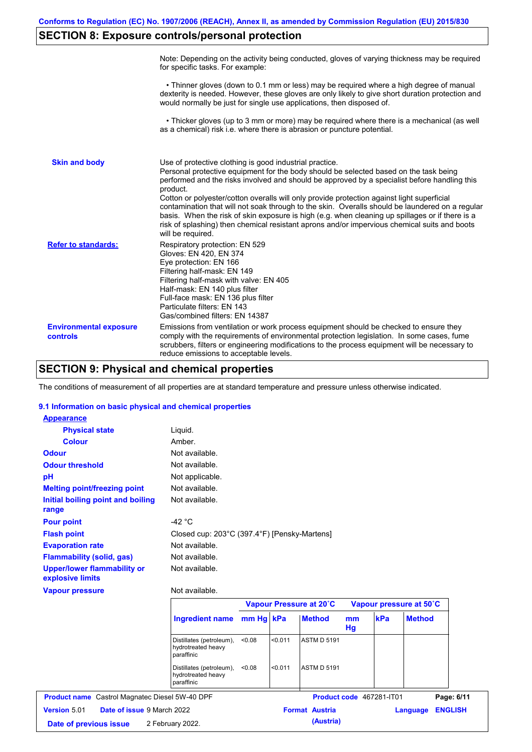## **SECTION 8: Exposure controls/personal protection**

|                                           | Note: Depending on the activity being conducted, gloves of varying thickness may be required<br>for specific tasks. For example:                                                                                                                                                                                                                                                                                                                                                                                                                                                                                                                                                      |
|-------------------------------------------|---------------------------------------------------------------------------------------------------------------------------------------------------------------------------------------------------------------------------------------------------------------------------------------------------------------------------------------------------------------------------------------------------------------------------------------------------------------------------------------------------------------------------------------------------------------------------------------------------------------------------------------------------------------------------------------|
|                                           | • Thinner gloves (down to 0.1 mm or less) may be required where a high degree of manual<br>dexterity is needed. However, these gloves are only likely to give short duration protection and<br>would normally be just for single use applications, then disposed of.                                                                                                                                                                                                                                                                                                                                                                                                                  |
|                                           | • Thicker gloves (up to 3 mm or more) may be required where there is a mechanical (as well<br>as a chemical) risk i.e. where there is abrasion or puncture potential.                                                                                                                                                                                                                                                                                                                                                                                                                                                                                                                 |
| <b>Skin and body</b>                      | Use of protective clothing is good industrial practice.<br>Personal protective equipment for the body should be selected based on the task being<br>performed and the risks involved and should be approved by a specialist before handling this<br>product.<br>Cotton or polyester/cotton overalls will only provide protection against light superficial<br>contamination that will not soak through to the skin. Overalls should be laundered on a regular<br>basis. When the risk of skin exposure is high (e.g. when cleaning up spillages or if there is a<br>risk of splashing) then chemical resistant aprons and/or impervious chemical suits and boots<br>will be required. |
| <b>Refer to standards:</b>                | Respiratory protection: EN 529<br>Gloves: EN 420, EN 374<br>Eye protection: EN 166<br>Filtering half-mask: EN 149<br>Filtering half-mask with valve: EN 405<br>Half-mask: EN 140 plus filter<br>Full-face mask: EN 136 plus filter<br>Particulate filters: EN 143<br>Gas/combined filters: EN 14387                                                                                                                                                                                                                                                                                                                                                                                   |
| <b>Environmental exposure</b><br>controls | Emissions from ventilation or work process equipment should be checked to ensure they<br>comply with the requirements of environmental protection legislation. In some cases, fume<br>scrubbers, filters or engineering modifications to the process equipment will be necessary to<br>reduce emissions to acceptable levels.                                                                                                                                                                                                                                                                                                                                                         |

## **SECTION 9: Physical and chemical properties**

The conditions of measurement of all properties are at standard temperature and pressure unless otherwise indicated.

### **9.1 Information on basic physical and chemical properties**

| Product name Castrol Magnatec Diesel 5W-40 DPF<br>Date of issue 9 March 2022 | Not available.<br><b>Ingredient name</b><br>Distillates (petroleum),<br>hydrotreated heavy<br>paraffinic<br>Distillates (petroleum),<br>hydrotreated heavy<br>paraffinic | mm Hg kPa<br>< 0.08<br>< 0.08                                                                                                                                                  | < 0.011<br>< 0.011 | Vapour Pressure at 20°C<br><b>Method</b><br><b>ASTM D 5191</b><br><b>ASTM D 5191</b><br><b>Format Austria</b> | mm<br>Hg                                     | kPa<br>Product code 467281-IT01 | Vapour pressure at 50°C<br><b>Method</b><br>Language | Page: 6/11<br><b>ENGLISH</b> |
|------------------------------------------------------------------------------|--------------------------------------------------------------------------------------------------------------------------------------------------------------------------|--------------------------------------------------------------------------------------------------------------------------------------------------------------------------------|--------------------|---------------------------------------------------------------------------------------------------------------|----------------------------------------------|---------------------------------|------------------------------------------------------|------------------------------|
|                                                                              |                                                                                                                                                                          |                                                                                                                                                                                |                    |                                                                                                               |                                              |                                 |                                                      |                              |
|                                                                              |                                                                                                                                                                          |                                                                                                                                                                                |                    |                                                                                                               |                                              |                                 |                                                      |                              |
|                                                                              |                                                                                                                                                                          |                                                                                                                                                                                |                    |                                                                                                               |                                              |                                 |                                                      |                              |
|                                                                              |                                                                                                                                                                          |                                                                                                                                                                                |                    |                                                                                                               |                                              |                                 |                                                      |                              |
|                                                                              |                                                                                                                                                                          |                                                                                                                                                                                |                    |                                                                                                               |                                              |                                 |                                                      |                              |
|                                                                              |                                                                                                                                                                          |                                                                                                                                                                                |                    |                                                                                                               |                                              |                                 |                                                      |                              |
|                                                                              |                                                                                                                                                                          |                                                                                                                                                                                |                    |                                                                                                               |                                              |                                 |                                                      |                              |
|                                                                              |                                                                                                                                                                          |                                                                                                                                                                                |                    |                                                                                                               |                                              |                                 |                                                      |                              |
|                                                                              |                                                                                                                                                                          |                                                                                                                                                                                |                    |                                                                                                               |                                              |                                 |                                                      |                              |
|                                                                              |                                                                                                                                                                          |                                                                                                                                                                                |                    |                                                                                                               |                                              |                                 |                                                      |                              |
|                                                                              |                                                                                                                                                                          |                                                                                                                                                                                |                    |                                                                                                               |                                              |                                 |                                                      |                              |
|                                                                              |                                                                                                                                                                          |                                                                                                                                                                                |                    |                                                                                                               |                                              |                                 |                                                      |                              |
|                                                                              |                                                                                                                                                                          |                                                                                                                                                                                |                    |                                                                                                               |                                              |                                 |                                                      |                              |
|                                                                              |                                                                                                                                                                          |                                                                                                                                                                                |                    |                                                                                                               |                                              |                                 |                                                      |                              |
|                                                                              |                                                                                                                                                                          |                                                                                                                                                                                |                    |                                                                                                               |                                              |                                 |                                                      |                              |
|                                                                              |                                                                                                                                                                          |                                                                                                                                                                                |                    |                                                                                                               |                                              |                                 |                                                      |                              |
|                                                                              |                                                                                                                                                                          |                                                                                                                                                                                |                    |                                                                                                               |                                              |                                 |                                                      |                              |
|                                                                              |                                                                                                                                                                          |                                                                                                                                                                                |                    |                                                                                                               |                                              |                                 |                                                      |                              |
| <b>Physical state</b>                                                        |                                                                                                                                                                          |                                                                                                                                                                                |                    |                                                                                                               |                                              |                                 |                                                      |                              |
|                                                                              |                                                                                                                                                                          |                                                                                                                                                                                |                    |                                                                                                               |                                              |                                 |                                                      |                              |
|                                                                              | <b>Melting point/freezing point</b><br>Initial boiling point and boiling<br><b>Flammability (solid, gas)</b><br><b>Upper/lower flammability or</b>                       | Liquid.<br>Amber.<br>Not available.<br>Not available.<br>Not applicable.<br>Not available.<br>Not available.<br>$-42 °C$<br>Not available.<br>Not available.<br>Not available. |                    |                                                                                                               | Closed cup: 203°C (397.4°F) [Pensky-Martens] |                                 |                                                      |                              |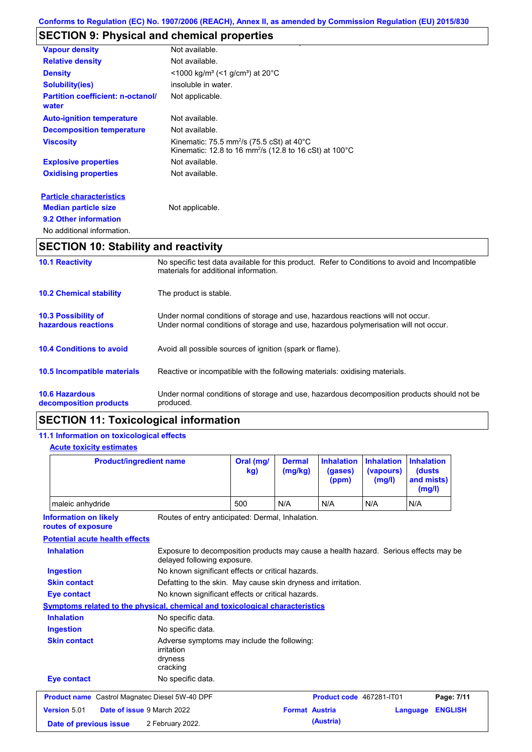## **SECTION 9: Physical and chemical properties**

| <b>Vapour density</b>                             | Not available.                                                                                                                         |
|---------------------------------------------------|----------------------------------------------------------------------------------------------------------------------------------------|
| <b>Relative density</b>                           | Not available.                                                                                                                         |
| <b>Density</b>                                    | $<$ 1000 kg/m <sup>3</sup> (<1 g/cm <sup>3</sup> ) at 20 <sup>°</sup> C                                                                |
| <b>Solubility(ies)</b>                            | insoluble in water.                                                                                                                    |
| <b>Partition coefficient: n-octanol/</b><br>water | Not applicable.                                                                                                                        |
| <b>Auto-ignition temperature</b>                  | Not available.                                                                                                                         |
| <b>Decomposition temperature</b>                  | Not available.                                                                                                                         |
| <b>Viscosity</b>                                  | Kinematic: 75.5 mm <sup>2</sup> /s (75.5 cSt) at 40 $^{\circ}$ C<br>Kinematic: 12.8 to 16 mm <sup>2</sup> /s (12.8 to 16 cSt) at 100°C |
| <b>Explosive properties</b>                       | Not available.                                                                                                                         |
| <b>Oxidising properties</b>                       | Not available.                                                                                                                         |
| <b>Particle characteristics</b>                   |                                                                                                                                        |
| <b>Median particle size</b>                       | Not applicable.                                                                                                                        |
| 9.2 Other information                             |                                                                                                                                        |
| No additional information.                        |                                                                                                                                        |

# **SECTION 10: Stability and reactivity**

| <b>10.1 Reactivity</b>                            | No specific test data available for this product. Refer to Conditions to avoid and Incompatible<br>materials for additional information.                                |
|---------------------------------------------------|-------------------------------------------------------------------------------------------------------------------------------------------------------------------------|
| <b>10.2 Chemical stability</b>                    | The product is stable.                                                                                                                                                  |
| <b>10.3 Possibility of</b><br>hazardous reactions | Under normal conditions of storage and use, hazardous reactions will not occur.<br>Under normal conditions of storage and use, hazardous polymerisation will not occur. |
| <b>10.4 Conditions to avoid</b>                   | Avoid all possible sources of ignition (spark or flame).                                                                                                                |
| 10.5 Incompatible materials                       | Reactive or incompatible with the following materials: oxidising materials.                                                                                             |
| <b>10.6 Hazardous</b><br>decomposition products   | Under normal conditions of storage and use, hazardous decomposition products should not be<br>produced.                                                                 |

## **SECTION 11: Toxicological information**

## **11.1 Information on toxicological effects**

| <b>Product/ingredient name</b><br>maleic anhydride                                   |                                                                                                                     | Oral (mg/<br><b>Dermal</b><br>(mg/kg)<br>kg) |                       | <b>Inhalation</b><br>(gases)<br>(ppm) | <b>Inhalation</b><br>(vapours)<br>(mg/l) | <b>Inhalation</b><br>(dusts)<br>and mists)<br>(mg/l) |
|--------------------------------------------------------------------------------------|---------------------------------------------------------------------------------------------------------------------|----------------------------------------------|-----------------------|---------------------------------------|------------------------------------------|------------------------------------------------------|
|                                                                                      |                                                                                                                     | 500<br>N/A                                   |                       | N/A                                   | N/A                                      | N/A                                                  |
| <b>Information on likely</b><br>routes of exposure                                   | Routes of entry anticipated: Dermal, Inhalation.                                                                    |                                              |                       |                                       |                                          |                                                      |
| <b>Potential acute health effects</b>                                                |                                                                                                                     |                                              |                       |                                       |                                          |                                                      |
| <b>Inhalation</b>                                                                    | Exposure to decomposition products may cause a health hazard. Serious effects may be<br>delayed following exposure. |                                              |                       |                                       |                                          |                                                      |
| <b>Ingestion</b>                                                                     | No known significant effects or critical hazards.                                                                   |                                              |                       |                                       |                                          |                                                      |
| <b>Skin contact</b><br>Defatting to the skin. May cause skin dryness and irritation. |                                                                                                                     |                                              |                       |                                       |                                          |                                                      |
| No known significant effects or critical hazards.<br><b>Eye contact</b>              |                                                                                                                     |                                              |                       |                                       |                                          |                                                      |
|                                                                                      | Symptoms related to the physical, chemical and toxicological characteristics                                        |                                              |                       |                                       |                                          |                                                      |
| <b>Inhalation</b>                                                                    | No specific data.                                                                                                   |                                              |                       |                                       |                                          |                                                      |
| <b>Ingestion</b>                                                                     | No specific data.                                                                                                   |                                              |                       |                                       |                                          |                                                      |
| <b>Skin contact</b>                                                                  | Adverse symptoms may include the following:<br>irritation<br>dryness<br>cracking                                    |                                              |                       |                                       |                                          |                                                      |
| <b>Eye contact</b>                                                                   | No specific data.                                                                                                   |                                              |                       |                                       |                                          |                                                      |
| <b>Product name</b> Castrol Magnatec Diesel 5W-40 DPF                                |                                                                                                                     |                                              |                       | Product code 467281-IT01              |                                          | Page: 7/11                                           |
| Version 5.01                                                                         | Date of issue 9 March 2022                                                                                          |                                              | <b>Format Austria</b> |                                       |                                          | <b>ENGLISH</b><br>Language                           |
| Date of previous issue                                                               | 2 February 2022.                                                                                                    |                                              |                       | (Austria)                             |                                          |                                                      |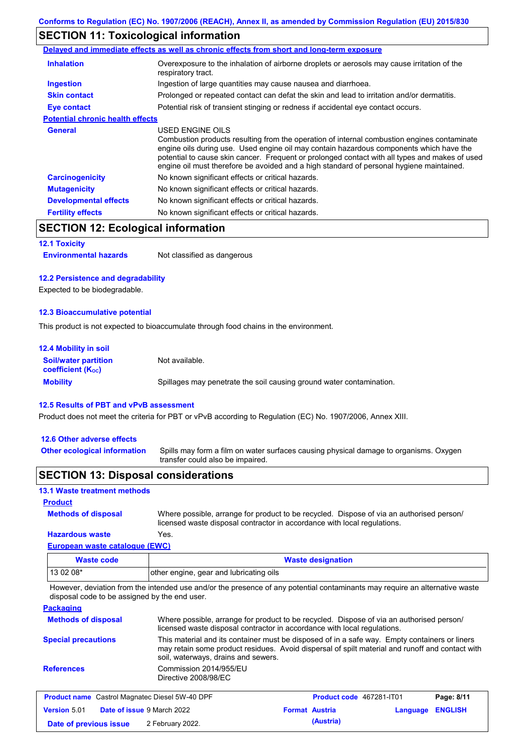## **SECTION 11: Toxicological information**

|                                         | Delayed and immediate effects as well as chronic effects from short and long-term exposure                                                                                                                                                                                                                                                                                                               |
|-----------------------------------------|----------------------------------------------------------------------------------------------------------------------------------------------------------------------------------------------------------------------------------------------------------------------------------------------------------------------------------------------------------------------------------------------------------|
| <b>Inhalation</b>                       | Overexposure to the inhalation of airborne droplets or aerosols may cause irritation of the<br>respiratory tract.                                                                                                                                                                                                                                                                                        |
| <b>Ingestion</b>                        | Ingestion of large quantities may cause nausea and diarrhoea.                                                                                                                                                                                                                                                                                                                                            |
| <b>Skin contact</b>                     | Prolonged or repeated contact can defat the skin and lead to irritation and/or dermatitis.                                                                                                                                                                                                                                                                                                               |
| Eye contact                             | Potential risk of transient stinging or redness if accidental eye contact occurs.                                                                                                                                                                                                                                                                                                                        |
| <b>Potential chronic health effects</b> |                                                                                                                                                                                                                                                                                                                                                                                                          |
| General                                 | USED ENGINE OILS<br>Combustion products resulting from the operation of internal combustion engines contaminate<br>engine oils during use. Used engine oil may contain hazardous components which have the<br>potential to cause skin cancer. Frequent or prolonged contact with all types and makes of used<br>engine oil must therefore be avoided and a high standard of personal hygiene maintained. |
| <b>Carcinogenicity</b>                  | No known significant effects or critical hazards.                                                                                                                                                                                                                                                                                                                                                        |
| <b>Mutagenicity</b>                     | No known significant effects or critical hazards.                                                                                                                                                                                                                                                                                                                                                        |
| <b>Developmental effects</b>            | No known significant effects or critical hazards.                                                                                                                                                                                                                                                                                                                                                        |
| <b>Fertility effects</b>                | No known significant effects or critical hazards.                                                                                                                                                                                                                                                                                                                                                        |

## **SECTION 12: Ecological information**

### **12.1 Toxicity**

**Environmental hazards** Not classified as dangerous

### **12.2 Persistence and degradability**

Expected to be biodegradable.

### **12.3 Bioaccumulative potential**

This product is not expected to bioaccumulate through food chains in the environment.

| <b>12.4 Mobility in soil</b>                            |                                                                      |
|---------------------------------------------------------|----------------------------------------------------------------------|
| <b>Soil/water partition</b><br><b>coefficient (Koc)</b> | Not available.                                                       |
| <b>Mobility</b>                                         | Spillages may penetrate the soil causing ground water contamination. |

### **12.5 Results of PBT and vPvB assessment**

Product does not meet the criteria for PBT or vPvB according to Regulation (EC) No. 1907/2006, Annex XIII.

### **12.6 Other adverse effects**

Spills may form a film on water surfaces causing physical damage to organisms. Oxygen transfer could also be impaired. **Other ecological information**

### **SECTION 13: Disposal considerations**

### **13.1 Waste treatment methods**

### **Product**

**Methods of disposal**

Where possible, arrange for product to be recycled. Dispose of via an authorised person/ licensed waste disposal contractor in accordance with local regulations.

#### **European waste catalogue (EWC) Hazardous waste** Yes.

| $\frac{1}{2}$ and $\frac{1}{2}$ and $\frac{1}{2}$ and $\frac{1}{2}$ and $\frac{1}{2}$ and $\frac{1}{2}$ and $\frac{1}{2}$ and $\frac{1}{2}$ |                                         |
|---------------------------------------------------------------------------------------------------------------------------------------------|-----------------------------------------|
| Waste code                                                                                                                                  | <b>Waste designation</b>                |
| $130208*$                                                                                                                                   | other engine, gear and lubricating oils |

However, deviation from the intended use and/or the presence of any potential contaminants may require an alternative waste disposal code to be assigned by the end user.

**Packaging**

| <b>Methods of disposal</b>                            | Where possible, arrange for product to be recycled. Dispose of via an authorised person/<br>licensed waste disposal contractor in accordance with local regulations. |                                                                                                                                                                                                  |            |  |
|-------------------------------------------------------|----------------------------------------------------------------------------------------------------------------------------------------------------------------------|--------------------------------------------------------------------------------------------------------------------------------------------------------------------------------------------------|------------|--|
| <b>Special precautions</b>                            | soil, waterways, drains and sewers.                                                                                                                                  | This material and its container must be disposed of in a safe way. Empty containers or liners<br>may retain some product residues. Avoid dispersal of spilt material and runoff and contact with |            |  |
| <b>References</b>                                     | Commission 2014/955/EU<br>Directive 2008/98/EC                                                                                                                       |                                                                                                                                                                                                  |            |  |
| <b>Product name</b> Castrol Magnatec Diesel 5W-40 DPF |                                                                                                                                                                      | <b>Product code</b> 467281-IT01                                                                                                                                                                  | Page: 8/11 |  |

| <b>The age in this case of magnates Bisser of Figure</b> |                                   |                  |  | .                     |                  |  |
|----------------------------------------------------------|-----------------------------------|------------------|--|-----------------------|------------------|--|
| <b>Version 5.01</b>                                      | <b>Date of issue 9 March 2022</b> |                  |  | <b>Format Austria</b> | Language ENGLISH |  |
| Date of previous issue                                   |                                   | 2 February 2022. |  | (Austria)             |                  |  |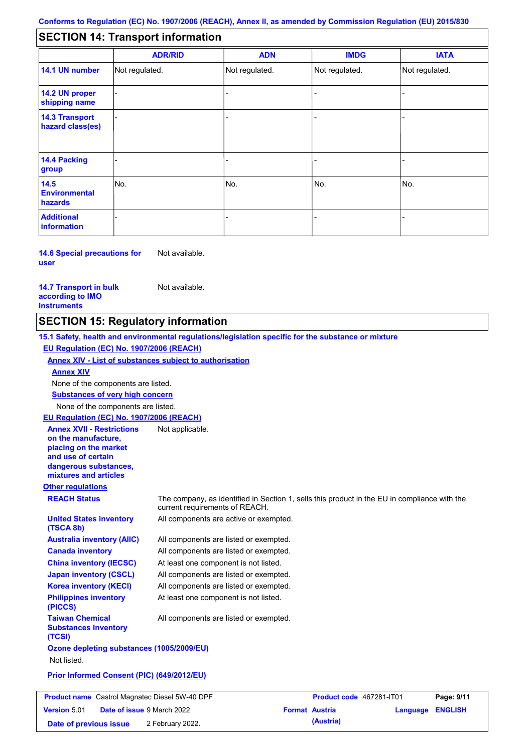#### - - - - - - - - - Not regulated. Not regulated. Not regulated. - - - **SECTION 14: Transport information ADR/RID IMDG IATA 14.1 UN number 14.2 UN proper shipping name 14.3 Transport hazard class(es) 14.4 Packing group ADN Additional information 14.5 Environmental hazards** No. 1980 | No. 1980 | No. 1980 | No. 1980 | No. 1980 | No. 1980 | No. 1980 | No. 1980 | No. 1980 | No. 1980 | Not regulated. - -<br>No. - -

**14.6 Special precautions for user** Not available.

### **14.7 Transport in bulk according to IMO instruments**

Not available.

**Date of previous issue (Austria)** 2 February 2022.

## **SECTION 15: Regulatory information**

**Other regulations REACH Status** The company, as identified in Section 1, sells this product in the EU in compliance with the current requirements of REACH. **15.1 Safety, health and environmental regulations/legislation specific for the substance or mixture EU Regulation (EC) No. 1907/2006 (REACH) Annex XIV - List of substances subject to authorisation Substances of very high concern** None of the components are listed. All components are listed or exempted. All components are listed or exempted. At least one component is not listed. All components are listed or exempted. All components are active or exempted. All components are listed or exempted. At least one component is not listed. **United States inventory (TSCA 8b) Australia inventory (AIIC) Canada inventory China inventory (IECSC) Japan inventory (CSCL) Korea inventory (KECI) Philippines inventory (PICCS) Taiwan Chemical Substances Inventory (TCSI)** All components are listed or exempted. **Ozone depleting substances (1005/2009/EU)** Not listed. **Prior Informed Consent (PIC) (649/2012/EU)** None of the components are listed. **Annex XIV EU Regulation (EC) No. 1907/2006 (REACH) Annex XVII - Restrictions on the manufacture, placing on the market and use of certain dangerous substances, mixtures and articles** Not applicable. **Product name** Castrol Magnatec Diesel 5W-40 DPF **Product Code 467281-IT01 Page: 9/11 Version** 5.01 **Date of issue** 9 March 2022 **Format Austria Language ENGLISH**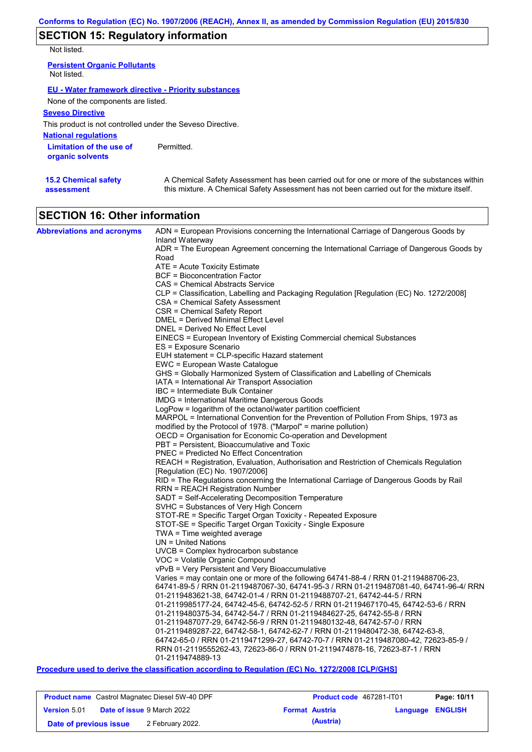## **SECTION 15: Regulatory information**

Not listed.

**15.2 Chemical safety** 

**assessment**

| <b>Persistent Organic Pollutants</b><br>Not listed.        |            |
|------------------------------------------------------------|------------|
| EU - Water framework directive - Priority substances       |            |
| None of the components are listed.                         |            |
| <b>Seveso Directive</b>                                    |            |
| This product is not controlled under the Seveso Directive. |            |
| <b>National regulations</b>                                |            |
| Limitation of the use of<br>organic solvents               | Permitted. |

A Chemical Safety Assessment has been carried out for one or more of the substances within this mixture. A Chemical Safety Assessment has not been carried out for the mixture itself.

| <b>SECTION 16: Other information</b> |
|--------------------------------------|

| <b>Abbreviations and acronyms</b> | ADN = European Provisions concerning the International Carriage of Dangerous Goods by                       |
|-----------------------------------|-------------------------------------------------------------------------------------------------------------|
|                                   | Inland Waterway<br>ADR = The European Agreement concerning the International Carriage of Dangerous Goods by |
|                                   | Road                                                                                                        |
|                                   | ATE = Acute Toxicity Estimate                                                                               |
|                                   | BCF = Bioconcentration Factor                                                                               |
|                                   | CAS = Chemical Abstracts Service                                                                            |
|                                   | CLP = Classification, Labelling and Packaging Regulation [Regulation (EC) No. 1272/2008]                    |
|                                   | CSA = Chemical Safety Assessment                                                                            |
|                                   | CSR = Chemical Safety Report                                                                                |
|                                   | DMEL = Derived Minimal Effect Level                                                                         |
|                                   | DNEL = Derived No Effect Level                                                                              |
|                                   | EINECS = European Inventory of Existing Commercial chemical Substances<br>ES = Exposure Scenario            |
|                                   | EUH statement = CLP-specific Hazard statement                                                               |
|                                   | EWC = European Waste Catalogue                                                                              |
|                                   | GHS = Globally Harmonized System of Classification and Labelling of Chemicals                               |
|                                   | IATA = International Air Transport Association                                                              |
|                                   | IBC = Intermediate Bulk Container                                                                           |
|                                   | <b>IMDG</b> = International Maritime Dangerous Goods                                                        |
|                                   | LogPow = logarithm of the octanol/water partition coefficient                                               |
|                                   | MARPOL = International Convention for the Prevention of Pollution From Ships, 1973 as                       |
|                                   | modified by the Protocol of 1978. ("Marpol" = marine pollution)                                             |
|                                   | OECD = Organisation for Economic Co-operation and Development                                               |
|                                   | PBT = Persistent, Bioaccumulative and Toxic<br>PNEC = Predicted No Effect Concentration                     |
|                                   | REACH = Registration, Evaluation, Authorisation and Restriction of Chemicals Regulation                     |
|                                   | [Regulation (EC) No. 1907/2006]                                                                             |
|                                   | RID = The Regulations concerning the International Carriage of Dangerous Goods by Rail                      |
|                                   | RRN = REACH Registration Number                                                                             |
|                                   | SADT = Self-Accelerating Decomposition Temperature                                                          |
|                                   | SVHC = Substances of Very High Concern                                                                      |
|                                   | STOT-RE = Specific Target Organ Toxicity - Repeated Exposure                                                |
|                                   | STOT-SE = Specific Target Organ Toxicity - Single Exposure                                                  |
|                                   | $TWA = Time weighted average$                                                                               |
|                                   | $UN = United Nations$<br>$UVCB = Complex\;hydrocarbon\; substance$                                          |
|                                   | VOC = Volatile Organic Compound                                                                             |
|                                   | vPvB = Very Persistent and Very Bioaccumulative                                                             |
|                                   | Varies = may contain one or more of the following $64741-88-4$ / RRN 01-2119488706-23,                      |
|                                   | 64741-89-5 / RRN 01-2119487067-30, 64741-95-3 / RRN 01-2119487081-40, 64741-96-4/ RRN                       |
|                                   | 01-2119483621-38, 64742-01-4 / RRN 01-2119488707-21, 64742-44-5 / RRN                                       |
|                                   | 01-2119985177-24, 64742-45-6, 64742-52-5 / RRN 01-2119467170-45, 64742-53-6 / RRN                           |
|                                   | 01-2119480375-34, 64742-54-7 / RRN 01-2119484627-25, 64742-55-8 / RRN                                       |
|                                   | 01-2119487077-29, 64742-56-9 / RRN 01-2119480132-48, 64742-57-0 / RRN                                       |
|                                   | 01-2119489287-22, 64742-58-1, 64742-62-7 / RRN 01-2119480472-38, 64742-63-8,                                |
|                                   | 64742-65-0 / RRN 01-2119471299-27, 64742-70-7 / RRN 01-2119487080-42, 72623-85-9 /                          |
|                                   | RRN 01-2119555262-43, 72623-86-0 / RRN 01-2119474878-16, 72623-87-1 / RRN<br>01-2119474889-13               |
|                                   |                                                                                                             |

### **Procedure used to derive the classification according to Regulation (EC) No. 1272/2008 [CLP/GHS]**

| <b>Product name</b> Castrol Magnatec Diesel 5W-40 DPF |                                   | Product code 467281-IT01 | Page: 10/11           |                         |  |
|-------------------------------------------------------|-----------------------------------|--------------------------|-----------------------|-------------------------|--|
| <b>Version 5.01</b>                                   | <b>Date of issue 9 March 2022</b> |                          | <b>Format Austria</b> | <b>Language ENGLISH</b> |  |
| Date of previous issue                                | 2 February 2022.                  |                          | (Austria)             |                         |  |